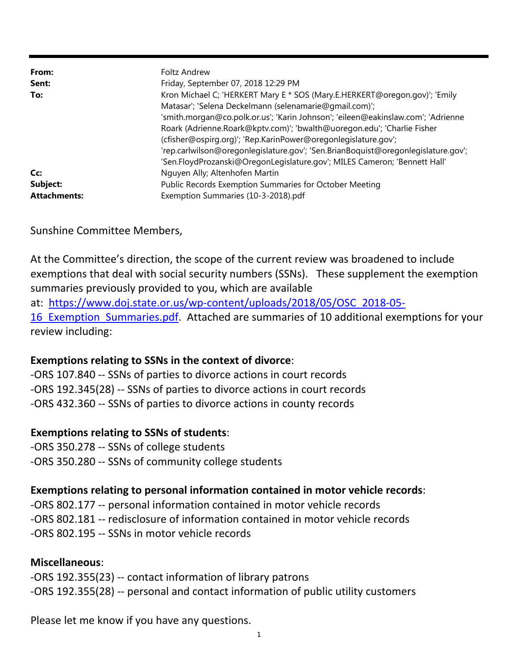| From:<br>Sent:<br>To:                  | Foltz Andrew<br>Friday, September 07, 2018 12:29 PM<br>Kron Michael C; 'HERKERT Mary E * SOS (Mary.E.HERKERT@oregon.gov)'; 'Emily<br>Matasar'; 'Selena Deckelmann (selenamarie@gmail.com)';<br>'smith.morgan@co.polk.or.us'; 'Karin Johnson'; 'eileen@eakinslaw.com'; 'Adrienne<br>Roark (Adrienne.Roark@kptv.com)'; 'bwalth@uoregon.edu'; 'Charlie Fisher          |
|----------------------------------------|---------------------------------------------------------------------------------------------------------------------------------------------------------------------------------------------------------------------------------------------------------------------------------------------------------------------------------------------------------------------|
| Cc:<br>Subject:<br><b>Attachments:</b> | (cfisher@ospirg.org)'; 'Rep.KarinPower@oregonlegislature.gov';<br>'rep.carlwilson@oregonlegislature.gov'; 'Sen.BrianBoquist@oregonlegislature.gov';<br>'Sen.FloydProzanski@OregonLegislature.gov'; MILES Cameron; 'Bennett Hall'<br>Nguyen Ally; Altenhofen Martin<br>Public Records Exemption Summaries for October Meeting<br>Exemption Summaries (10-3-2018).pdf |

Sunshine Committee Members,

At the Committee's direction, the scope of the current review was broadened to include exemptions that deal with social security numbers (SSNs). These supplement the exemption summaries previously provided to you, which are available

at: https://www.doj.state.or.us/wp‐content/uploads/2018/05/OSC\_2018‐05‐

16 Exemption Summaries.pdf. Attached are summaries of 10 additional exemptions for your review including:

# **Exemptions relating to SSNs in the context of divorce**:

‐ORS 107.840 ‐‐ SSNs of parties to divorce actions in court records ‐ORS 192.345(28) ‐‐ SSNs of parties to divorce actions in court records ‐ORS 432.360 ‐‐ SSNs of parties to divorce actions in county records

# **Exemptions relating to SSNs of students**:

‐ORS 350.278 ‐‐ SSNs of college students

# ‐ORS 350.280 ‐‐ SSNs of community college students

# **Exemptions relating to personal information contained in motor vehicle records**:

‐ORS 802.177 ‐‐ personal information contained in motor vehicle records ‐ORS 802.181 ‐‐ redisclosure of information contained in motor vehicle records ‐ORS 802.195 ‐‐ SSNs in motor vehicle records

# **Miscellaneous**:

‐ORS 192.355(23) ‐‐ contact information of library patrons ‐ORS 192.355(28) ‐‐ personal and contact information of public utility customers

Please let me know if you have any questions.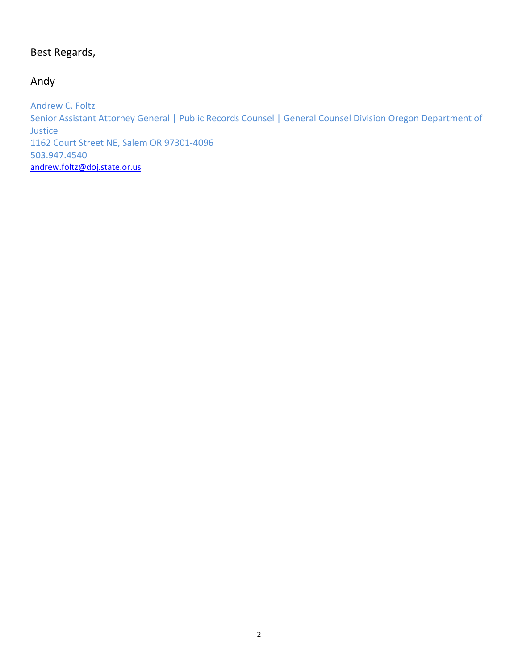# Best Regards,

# Andy

Andrew C. Foltz Senior Assistant Attorney General | Public Records Counsel | General Counsel Division Oregon Department of Justice 1162 Court Street NE, Salem OR 97301‐4096 503.947.4540 andrew.foltz@doj.state.or.us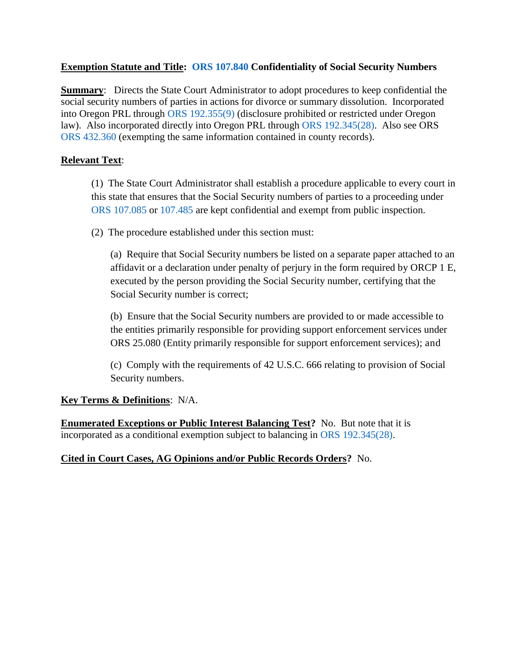# **Exemption Statute and Title: [ORS 107.840](https://www.oregonlaws.org/ors/107.840) Confidentiality of Social Security Numbers**

**Summary**: Directs the State Court Administrator to adopt procedures to keep confidential the social security numbers of parties in actions for divorce or summary dissolution. Incorporated into Oregon PRL through [ORS 192.355\(9\)](https://www.oregonlaws.org/ors/192.355) (disclosure prohibited or restricted under Oregon law). Also incorporated directly into Oregon PRL through [ORS 192.345\(28\).](https://www.oregonlaws.org/ors/192.345) Also see ORS [ORS 432.360](https://www.oregonlaws.org/ors/432.360) (exempting the same information contained in county records).

# **Relevant Text**:

(1) The State Court Administrator shall establish a procedure applicable to every court in this state that ensures that the Social Security numbers of parties to a proceeding under ORS [107.085](https://www.oregonlaws.org/ors/107.085) or [107.485](https://www.oregonlaws.org/ors/107.485) are kept confidential and exempt from public inspection.

(2) The procedure established under this section must:

(a) Require that Social Security numbers be listed on a separate paper attached to an affidavit or a declaration under penalty of perjury in the form required by ORCP 1 E, executed by the person providing the Social Security number, certifying that the Social Security number is correct;

(b) Ensure that the Social Security numbers are provided to or made accessible to the entities primarily responsible for providing support enforcement services under ORS 25.080 [\(Entity primarily responsible for support enforcement services\);](https://www.oregonlaws.org/ors/25.080) and

(c) Comply with the requirements of 42 U.S.C. 666 relating to provision of Social Security numbers.

# **Key Terms & Definitions**: N/A.

**Enumerated Exceptions or Public Interest Balancing Test?** No. But note that it is incorporated as a conditional exemption subject to balancing in [ORS 192.345\(28\).](https://www.oregonlaws.org/ors/192.345)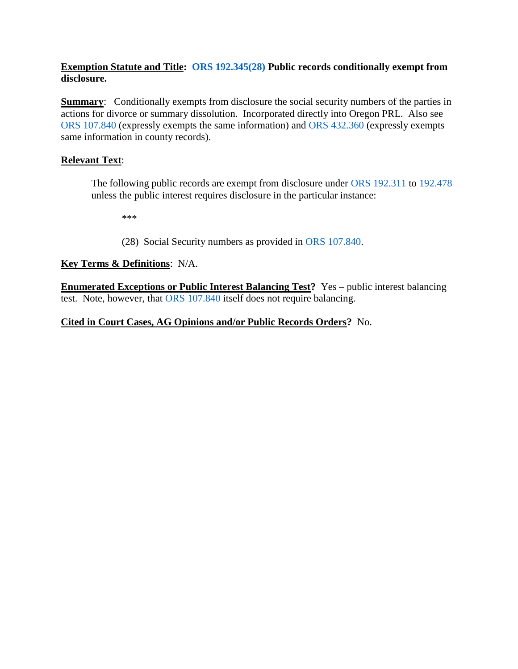#### **Exemption Statute and Title: [ORS 192.345\(28\)](https://www.oregonlaws.org/ors/192.345) Public records conditionally exempt from disclosure.**

**Summary:** Conditionally exempts from disclosure the social security numbers of the parties in actions for divorce or summary dissolution. Incorporated directly into Oregon PRL. Also see [ORS 107.840](https://www.oregonlaws.org/ors/107.840) (expressly exempts the same information) and [ORS 432.360](https://www.oregonlaws.org/ors/432.360) (expressly exempts same information in county records).

# **Relevant Text**:

The following public records are exempt from disclosure under [ORS 192.311](https://www.oregonlaws.org/ors/192.311) to [192.478](https://www.oregonlaws.org/ors/192.478) unless the public interest requires disclosure in the particular instance:

\*\*\*

(28) Social Security numbers as provided in [ORS 107.840.](https://www.oregonlaws.org/ors/107.840)

# **Key Terms & Definitions**: N/A.

**Enumerated Exceptions or Public Interest Balancing Test?** Yes – public interest balancing test. Note, however, that [ORS 107.840](https://www.oregonlaws.org/ors/107.840) itself does not require balancing.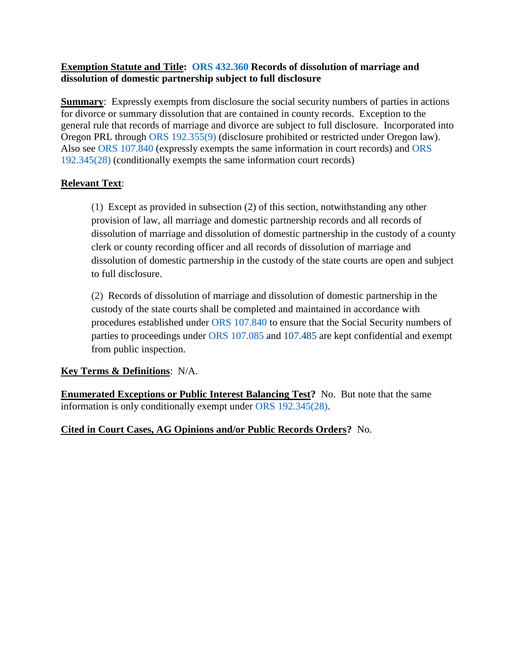#### **Exemption Statute and Title: [ORS 432.360](https://www.oregonlaws.org/ors/432.360) Records of dissolution of marriage and dissolution of domestic partnership subject to full disclosure**

**Summary:** Expressly exempts from disclosure the social security numbers of parties in actions for divorce or summary dissolution that are contained in county records. Exception to the general rule that records of marriage and divorce are subject to full disclosure. Incorporated into Oregon PRL through [ORS 192.355\(9\)](https://www.oregonlaws.org/ors/192.355) (disclosure prohibited or restricted under Oregon law). Also see ORS [107.840](https://www.oregonlaws.org/ors/107.840) (expressly exempts the same information in court records) and [ORS](https://www.oregonlaws.org/ors/192.345)  [192.345\(28\)](https://www.oregonlaws.org/ors/192.345) (conditionally exempts the same information court records)

# **Relevant Text**:

(1) Except as provided in subsection (2) of this section, notwithstanding any other provision of law, all marriage and domestic partnership records and all records of dissolution of marriage and dissolution of domestic partnership in the custody of a county clerk or county recording officer and all records of dissolution of marriage and dissolution of domestic partnership in the custody of the state courts are open and subject to full disclosure.

(2) Records of dissolution of marriage and dissolution of domestic partnership in the custody of the state courts shall be completed and maintained in accordance with procedures established under ORS [107.840](https://www.oregonlaws.org/ors/107.840) to ensure that the Social Security numbers of parties to proceedings under ORS [107.085](https://www.oregonlaws.org/ors/107.085) and [107.485](https://www.oregonlaws.org/ors/107.485) are kept confidential and exempt from public inspection.

# **Key Terms & Definitions**: N/A.

**Enumerated Exceptions or Public Interest Balancing Test?** No. But note that the same information is only conditionally exempt under [ORS 192.345\(28\).](https://www.oregonlaws.org/ors/192.345)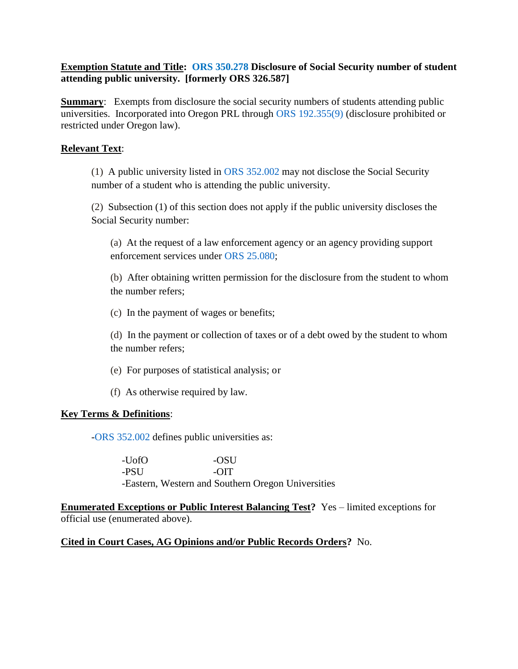#### **Exemption Statute and Title: [ORS 350.278](https://www.oregonlaws.org/ors/350.278) Disclosure of Social Security number of student attending public university. [formerly ORS 326.587]**

**Summary:** Exempts from disclosure the social security numbers of students attending public universities. Incorporated into Oregon PRL through [ORS 192.355\(9\)](https://www.oregonlaws.org/ors/192.355) (disclosure prohibited or restricted under Oregon law).

#### **Relevant Text**:

(1) A public university listed in ORS [352.002](https://www.oregonlaws.org/ors/352.002) may not disclose the Social Security number of a student who is attending the public university.

(2) Subsection (1) of this section does not apply if the public university discloses the Social Security number:

(a) At the request of a law enforcement agency or an agency providing support enforcement services under ORS [25.080;](https://www.oregonlaws.org/ors/25.080)

(b) After obtaining written permission for the disclosure from the student to whom the number refers;

(c) In the payment of wages or benefits;

(d) In the payment or collection of taxes or of a debt owed by the student to whom the number refers;

(e) For purposes of statistical analysis; or

(f) As otherwise required by law.

#### **Key Terms & Definitions**:

[-ORS 352.002](https://www.oregonlaws.org/ors/352.002) defines public universities as:

-UofO -OSU -PSU -OIT -Eastern, Western and Southern Oregon Universities

**Enumerated Exceptions or Public Interest Balancing Test?** Yes – limited exceptions for official use (enumerated above).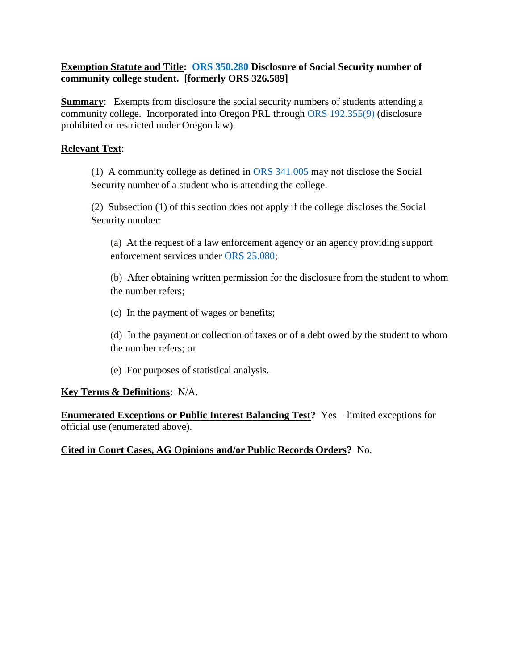#### **Exemption Statute and Title: ORS [350.280](https://www.oregonlaws.org/ors/350.280) Disclosure of Social Security number of community college student. [formerly ORS 326.589]**

**Summary:** Exempts from disclosure the social security numbers of students attending a community college. Incorporated into Oregon PRL through [ORS 192.355\(9\)](https://www.oregonlaws.org/ors/192.355) (disclosure prohibited or restricted under Oregon law).

# **Relevant Text**:

(1) A community college as defined in ORS [341.005](https://www.oregonlaws.org/ors/341.005) may not disclose the Social Security number of a student who is attending the college.

(2) Subsection (1) of this section does not apply if the college discloses the Social Security number:

(a) At the request of a law enforcement agency or an agency providing support enforcement services under ORS [25.080;](https://www.oregonlaws.org/ors/25.080)

(b) After obtaining written permission for the disclosure from the student to whom the number refers;

(c) In the payment of wages or benefits;

(d) In the payment or collection of taxes or of a debt owed by the student to whom the number refers; or

(e) For purposes of statistical analysis.

# **Key Terms & Definitions**: N/A.

**Enumerated Exceptions or Public Interest Balancing Test?** Yes – limited exceptions for official use (enumerated above).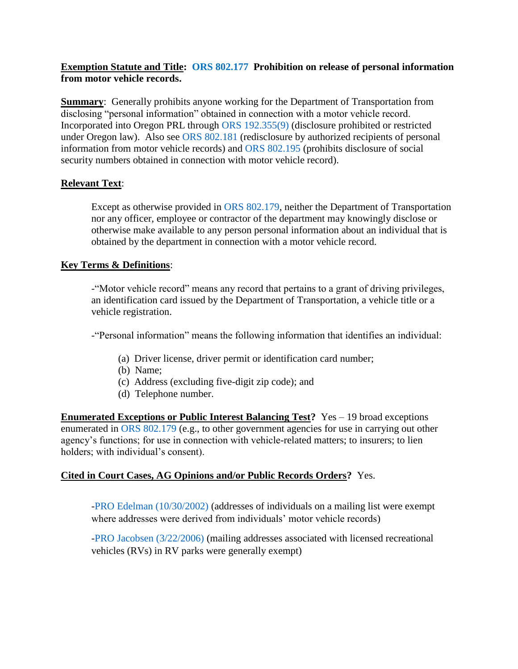#### **Exemption Statute and Title: [ORS 802.177](https://www.oregonlaws.org/ors/802.177) Prohibition on release of personal information from motor vehicle records.**

**Summary:** Generally prohibits anyone working for the Department of Transportation from disclosing "personal information" obtained in connection with a motor vehicle record. Incorporated into Oregon PRL through [ORS 192.355\(9\)](https://www.oregonlaws.org/ors/192.355) (disclosure prohibited or restricted under Oregon law). Also see [ORS 802.181](https://www.oregonlaws.org/ors/802.181) (redisclosure by authorized recipients of personal information from motor vehicle records) and [ORS 802.195](https://www.oregonlaws.org/ors/802.195) (prohibits disclosure of social security numbers obtained in connection with motor vehicle record).

# **Relevant Text**:

Except as otherwise provided in [ORS 802.179,](https://www.oregonlaws.org/ors/802.179) neither the Department of Transportation nor any officer, employee or contractor of the department may knowingly disclose or otherwise make available to any person personal information about an individual that is obtained by the department in connection with a motor vehicle record.

#### **Key Terms & Definitions**:

-"Motor vehicle record" means any record that pertains to a grant of driving privileges, an identification card issued by the Department of Transportation, a vehicle title or a vehicle registration.

-"Personal information" means the following information that identifies an individual:

- (a) Driver license, driver permit or identification card number;
- (b) Name;
- (c) Address (excluding five-digit zip code); and
- (d) Telephone number.

**Enumerated Exceptions or Public Interest Balancing Test?** Yes – 19 broad exceptions enumerated in [ORS 802.179](https://www.oregonlaws.org/ors/802.179) (e.g., to other government agencies for use in carrying out other agency's functions; for use in connection with vehicle-related matters; to insurers; to lien holders; with individual's consent).

#### **Cited in Court Cases, AG Opinions and/or Public Records Orders?** Yes.

[-PRO Edelman \(10/30/2002\)](https://cdm17027.contentdm.oclc.org/digital/collection/p17027coll2/id/1129/rec/7) (addresses of individuals on a mailing list were exempt where addresses were derived from individuals' motor vehicle records)

[-PRO Jacobsen \(3/22/2006\)](https://cdm17027.contentdm.oclc.org/digital/collection/p17027coll2/id/1593/rec/2) (mailing addresses associated with licensed recreational vehicles (RVs) in RV parks were generally exempt)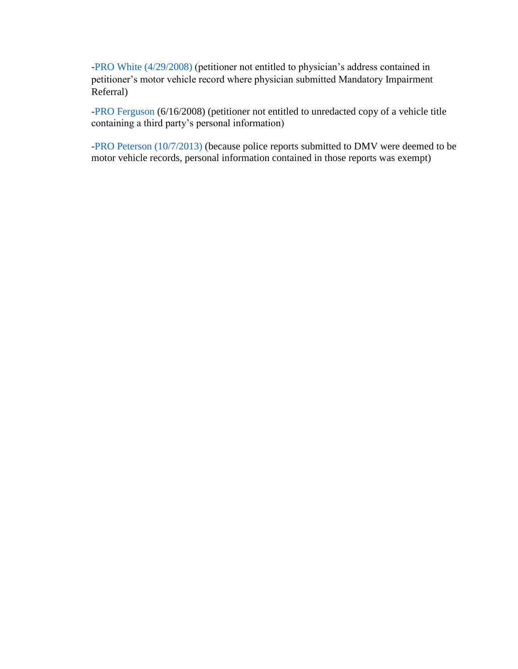[-PRO White \(4/29/2008\)](https://cdm17027.contentdm.oclc.org/digital/collection/p17027coll2/id/1438/rec/6) (petitioner not entitled to physician's address contained in petitioner's motor vehicle record where physician submitted Mandatory Impairment Referral)

[-PRO Ferguson](https://cdm17027.contentdm.oclc.org/digital/collection/p17027coll2/id/1434/rec/1) (6/16/2008) (petitioner not entitled to unredacted copy of a vehicle title containing a third party's personal information)

[-PRO Peterson \(10/7/2013\)](https://cdm17027.contentdm.oclc.org/digital/collection/p17027coll2/id/1687/rec/1) (because police reports submitted to DMV were deemed to be motor vehicle records, personal information contained in those reports was exempt)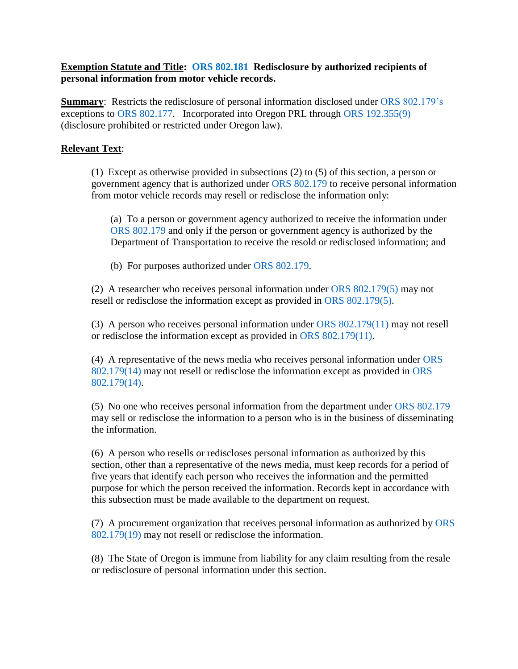#### **Exemption Statute and Title: [ORS 802.181](https://www.oregonlaws.org/ors/802.181) Redisclosure by authorized recipients of personal information from motor vehicle records.**

**Summary:** Restricts the redisclosure of personal information disclosed under [ORS 802.179's](https://www.oregonlaws.org/ors/802.179) exceptions to [ORS 802.177.](https://www.oregonlaws.org/ors/802.177) Incorporated into Oregon PRL through [ORS 192.355\(9\)](https://www.oregonlaws.org/ors/192.355) (disclosure prohibited or restricted under Oregon law).

#### **Relevant Text**:

(1) Except as otherwise provided in subsections (2) to (5) of this section, a person or government agency that is authorized under [ORS 802.179](https://www.oregonlaws.org/ors/802.179) to receive personal information from motor vehicle records may resell or redisclose the information only:

(a) To a person or government agency authorized to receive the information under [ORS 802.179](https://www.oregonlaws.org/ors/802.179) and only if the person or government agency is authorized by the Department of Transportation to receive the resold or redisclosed information; and

(b) For purposes authorized under [ORS 802.179.](https://www.oregonlaws.org/ors/802.179)

(2) A researcher who receives personal information under [ORS 802.179\(5\)](https://www.oregonlaws.org/ors/802.179) may not resell or redisclose the information except as provided in [ORS 802.179\(5\).](https://www.oregonlaws.org/ors/802.179)

(3) A person who receives personal information under [ORS 802.179\(11\)](https://www.oregonlaws.org/ors/802.179) may not resell or redisclose the information except as provided in [ORS 802.179\(11\).](https://www.oregonlaws.org/ors/802.179)

(4) A representative of the news media who receives personal information under [ORS](https://www.oregonlaws.org/ors/802.179)  [802.179\(14\)](https://www.oregonlaws.org/ors/802.179) may not resell or redisclose the information except as provided in [ORS](https://www.oregonlaws.org/ors/802.179)  [802.179\(14\).](https://www.oregonlaws.org/ors/802.179)

(5) No one who receives personal information from the department under [ORS 802.179](https://www.oregonlaws.org/ors/802.179) may sell or redisclose the information to a person who is in the business of disseminating the information.

(6) A person who resells or rediscloses personal information as authorized by this section, other than a representative of the news media, must keep records for a period of five years that identify each person who receives the information and the permitted purpose for which the person received the information. Records kept in accordance with this subsection must be made available to the department on request.

(7) A procurement organization that receives personal information as authorized by [ORS](https://www.oregonlaws.org/ors/802.179)  [802.179\(19\)](https://www.oregonlaws.org/ors/802.179) may not resell or redisclose the information.

(8) The State of Oregon is immune from liability for any claim resulting from the resale or redisclosure of personal information under this section.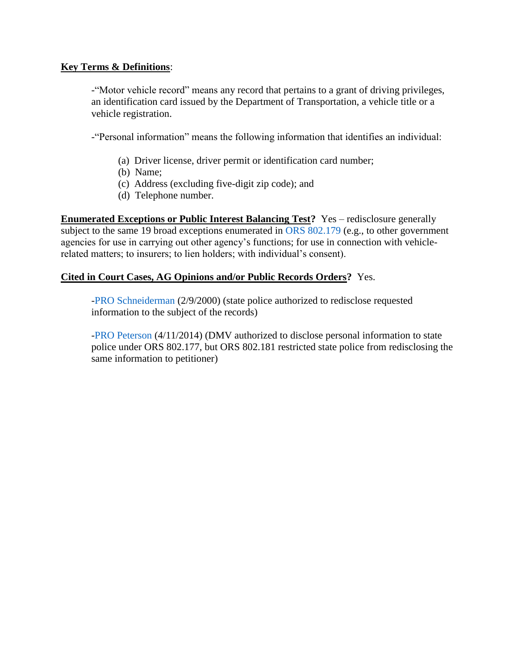#### **Key Terms & Definitions**:

-"Motor vehicle record" means any record that pertains to a grant of driving privileges, an identification card issued by the Department of Transportation, a vehicle title or a vehicle registration.

-"Personal information" means the following information that identifies an individual:

- (a) Driver license, driver permit or identification card number;
- (b) Name;
- (c) Address (excluding five-digit zip code); and
- (d) Telephone number.

**Enumerated Exceptions or Public Interest Balancing Test?** Yes – redisclosure generally subject to the same 19 broad exceptions enumerated in [ORS 802.179](https://www.oregonlaws.org/ors/802.179) (e.g., to other government agencies for use in carrying out other agency's functions; for use in connection with vehiclerelated matters; to insurers; to lien holders; with individual's consent).

#### **Cited in Court Cases, AG Opinions and/or Public Records Orders?** Yes.

[-PRO Schneiderman](https://cdm17027.contentdm.oclc.org/digital/collection/p17027coll2/id/1329/rec/3) (2/9/2000) (state police authorized to redisclose requested information to the subject of the records)

[-PRO Peterson](https://cdm17027.contentdm.oclc.org/digital/collection/p17027coll2/id/1757/rec/2) (4/11/2014) (DMV authorized to disclose personal information to state police under ORS 802.177, but ORS 802.181 restricted state police from redisclosing the same information to petitioner)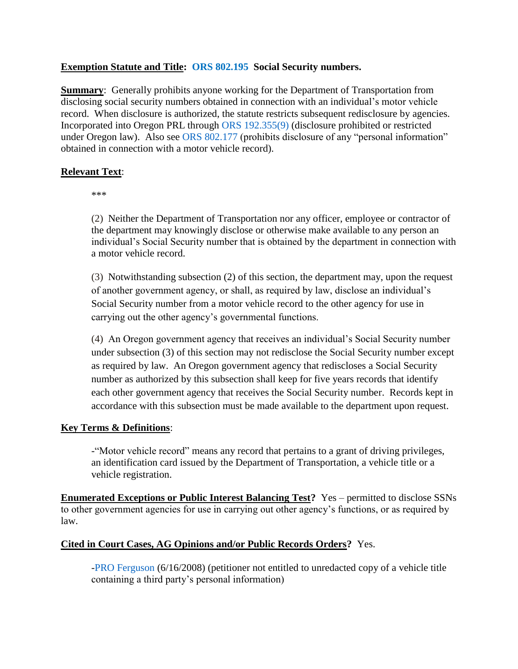#### **Exemption Statute and Title: [ORS 802.195](https://www.oregonlaws.org/ors/802.195) Social Security numbers.**

**Summary:** Generally prohibits anyone working for the Department of Transportation from disclosing social security numbers obtained in connection with an individual's motor vehicle record. When disclosure is authorized, the statute restricts subsequent redisclosure by agencies. Incorporated into Oregon PRL through [ORS 192.355\(9\)](https://www.oregonlaws.org/ors/192.355) (disclosure prohibited or restricted under Oregon law). Also see [ORS 802.177](https://www.oregonlaws.org/ors/802.177) (prohibits disclosure of any "personal information" obtained in connection with a motor vehicle record).

#### **Relevant Text**:

\*\*\*

(2) Neither the Department of Transportation nor any officer, employee or contractor of the department may knowingly disclose or otherwise make available to any person an individual's Social Security number that is obtained by the department in connection with a motor vehicle record.

(3) Notwithstanding subsection (2) of this section, the department may, upon the request of another government agency, or shall, as required by law, disclose an individual's Social Security number from a motor vehicle record to the other agency for use in carrying out the other agency's governmental functions.

(4) An Oregon government agency that receives an individual's Social Security number under subsection (3) of this section may not redisclose the Social Security number except as required by law. An Oregon government agency that rediscloses a Social Security number as authorized by this subsection shall keep for five years records that identify each other government agency that receives the Social Security number. Records kept in accordance with this subsection must be made available to the department upon request.

#### **Key Terms & Definitions**:

-"Motor vehicle record" means any record that pertains to a grant of driving privileges, an identification card issued by the Department of Transportation, a vehicle title or a vehicle registration.

**Enumerated Exceptions or Public Interest Balancing Test?** Yes – permitted to disclose SSNs to other government agencies for use in carrying out other agency's functions, or as required by law.

# **Cited in Court Cases, AG Opinions and/or Public Records Orders?** Yes.

[-PRO Ferguson](https://cdm17027.contentdm.oclc.org/digital/collection/p17027coll2/id/1434/rec/1) (6/16/2008) (petitioner not entitled to unredacted copy of a vehicle title containing a third party's personal information)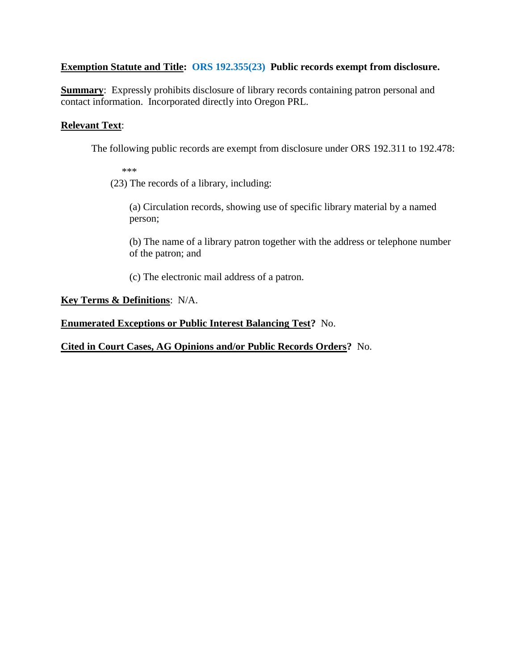# **Exemption Statute and Title: [ORS 192.355\(23\)](https://www.oregonlaws.org/ors/192.355) Public records exempt from disclosure.**

**Summary:** Expressly prohibits disclosure of library records containing patron personal and contact information. Incorporated directly into Oregon PRL.

# **Relevant Text**:

The following public records are exempt from disclosure under ORS 192.311 to 192.478:

\*\*\*

(23) The records of a library, including:

(a) Circulation records, showing use of specific library material by a named person;

(b) The name of a library patron together with the address or telephone number of the patron; and

(c) The electronic mail address of a patron.

# **Key Terms & Definitions**: N/A.

# **Enumerated Exceptions or Public Interest Balancing Test?** No.